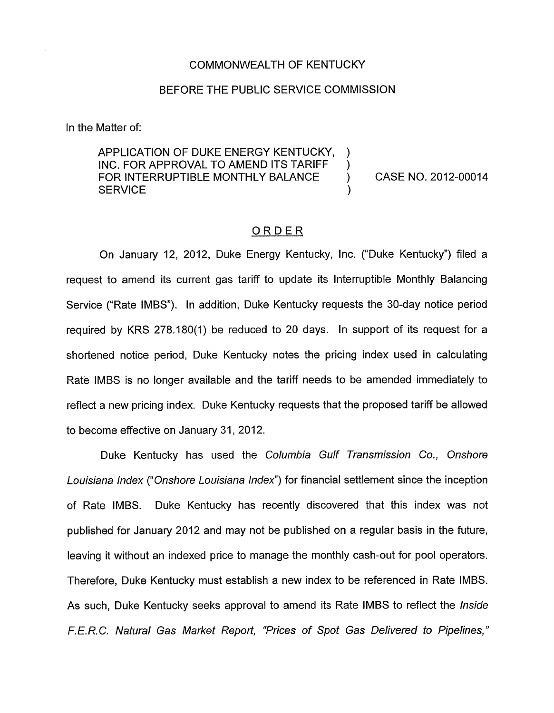## COMMONWEALTH OF KENTUCKY

## BEFORE THE PUBLIC SERVICE COMMISSION

) )

)

In the Matter of:

APPLICATION OF DUKE ENERGY KENTUCKY, INC. FOR APPROVAL TO AMEND ITS TARIFF FOR INTERRUPTIBLE MONTHLY BALANCE (ASSE NO. 2012-00014 **SERVICE** 

## ORDER

On January 12, 2012, Duke Energy Kentucky, Inc. ("Duke Kentucky") filed a request to amend its current gas tariff to update its Interruptible Monthly Balancing Service ("Rate IMBS"). In addition, Duke Kentucky requests the 30-day notice period required by KRS 278.180(1) be reduced to 20 days. In support of its request for a shortened notice period, Duke Kentucky notes the pricing index used in calculating Rate IMBS is no longer available and the tariff needs to be amended immediately to reflect a new pricing index. Duke Kentucky requests that the proposed tariff be allowed to become effective on January 31,2012.

Duke Kentucky has used the *Columbia Gulf Transmission Co., Onshore Louisiana Index ("Onshore Louisiana Index")* for financial settlement since the inception of Rate IMBS. Duke Kentucky has recently discovered that this index was not published for January 2012 and may not be published on a regular basis in the future, leaving it without an indexed price to manage the monthly cash-out for pool operators. Therefore, Duke Kentucky must establish a new index to be referenced in Rate IMBS. As such, Duke Kentucky seeks approval to amend its Rate IMBS to reflect the *Inside F.E.R.C. Natural Gas Market Report, "Prices of Spot Gas Delivered to Pipelines,"*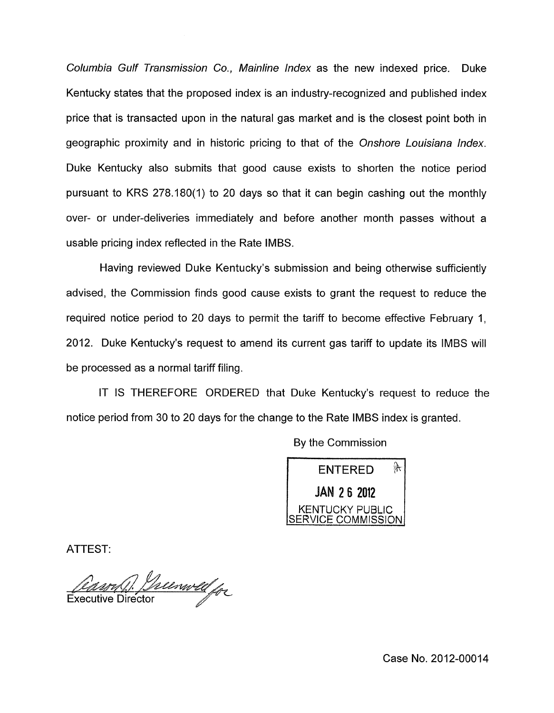*Columbia Gulf Transmission Co., Mainline Index* as the new indexed price. Duke Kentucky states that the proposed index is an industry-recognized and published index price that is transacted upon in the natural gas market and is the closest point both in geographic proximity and in historic pricing to that of the *Onshore Louisiana Index.*  Duke Kentucky also submits that good cause exists to shorten the notice period pursuant to KRS 278.180(1) to 20 days so that it can begin cashing out the monthly over- or under-deliveries immediately and before another month passes without a usable pricing index reflected in the Rate IMBS.

Having reviewed Duke Kentucky's submission and being otherwise sufficiently advised, the Commission finds good cause exists to grant the request to reduce the required notice period to 20 days to permit the tariff to become effective February 1, 2012. Duke Kentucky's request to amend its current gas tariff to update its IMBS will be processed as a normal tariff filing.

IT IS THEREFORE ORDERED that Duke Kentucky's request to reduce the notice period from 30 to 20 days for the change to the Rate IMBS index is granted.

> $\mathfrak{g}$ ENTERED **JAN 26 2012 KENTUCKY PUBLIC ERVICE COMMISSION**

ATTEST:

Theenwelfor **Executive Director** 

Case No. 2012-00014

By the Commission